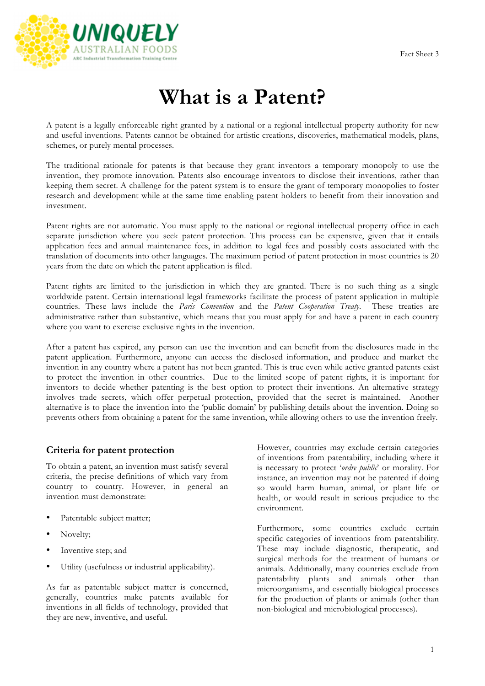

# **What is a Patent?**

A patent is a legally enforceable right granted by a national or a regional intellectual property authority for new and useful inventions. Patents cannot be obtained for artistic creations, discoveries, mathematical models, plans, schemes, or purely mental processes.

The traditional rationale for patents is that because they grant inventors a temporary monopoly to use the invention, they promote innovation. Patents also encourage inventors to disclose their inventions, rather than keeping them secret. A challenge for the patent system is to ensure the grant of temporary monopolies to foster research and development while at the same time enabling patent holders to benefit from their innovation and investment.

Patent rights are not automatic. You must apply to the national or regional intellectual property office in each separate jurisdiction where you seek patent protection. This process can be expensive, given that it entails application fees and annual maintenance fees, in addition to legal fees and possibly costs associated with the translation of documents into other languages. The maximum period of patent protection in most countries is 20 years from the date on which the patent application is filed.

Patent rights are limited to the jurisdiction in which they are granted. There is no such thing as a single worldwide patent. Certain international legal frameworks facilitate the process of patent application in multiple countries. These laws include the *Paris Convention* and the *Patent Cooperation Treaty*. These treaties are administrative rather than substantive, which means that you must apply for and have a patent in each country where you want to exercise exclusive rights in the invention.

After a patent has expired, any person can use the invention and can benefit from the disclosures made in the patent application. Furthermore, anyone can access the disclosed information, and produce and market the invention in any country where a patent has not been granted. This is true even while active granted patents exist to protect the invention in other countries. Due to the limited scope of patent rights, it is important for inventors to decide whether patenting is the best option to protect their inventions. An alternative strategy involves trade secrets, which offer perpetual protection, provided that the secret is maintained. Another alternative is to place the invention into the 'public domain' by publishing details about the invention. Doing so prevents others from obtaining a patent for the same invention, while allowing others to use the invention freely.

#### **Criteria for patent protection**

To obtain a patent, an invention must satisfy several criteria, the precise definitions of which vary from country to country. However, in general an invention must demonstrate:

- Patentable subject matter;
- Novelty;
- Inventive step; and
- Utility (usefulness or industrial applicability).

As far as patentable subject matter is concerned, generally, countries make patents available for inventions in all fields of technology, provided that they are new, inventive, and useful.

However, countries may exclude certain categories of inventions from patentability, including where it is necessary to protect '*ordre public*' or morality. For instance, an invention may not be patented if doing so would harm human, animal, or plant life or health, or would result in serious prejudice to the environment.

Furthermore, some countries exclude certain specific categories of inventions from patentability. These may include diagnostic, therapeutic, and surgical methods for the treatment of humans or animals. Additionally, many countries exclude from patentability plants and animals other than microorganisms, and essentially biological processes for the production of plants or animals (other than non-biological and microbiological processes).